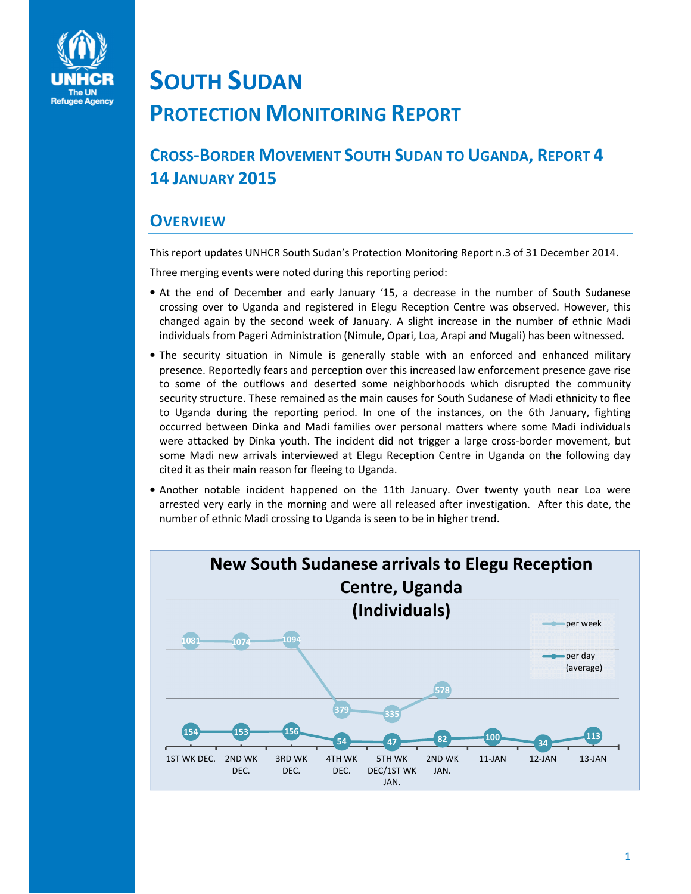

## SOUTH SUDAN PROTECTION MONITORING REPORT

CROSS-BORDER MOVEMENT SOUTH SUDAN TO UGANDA, REPORT 4 14 JANUARY 2015

## **OVERVIEW**

This report updates UNHCR South Sudan's Protection Monitoring Report n.3 of 31 December 2014.

Three merging events were noted during this reporting period:

- At the end of December and early January '15, a decrease in the number of South Sudanese crossing over to Uganda and registered in Elegu Reception Centre was observed. However, this changed again by the second week of January. A slight increase in the number of ethnic Madi individuals from Pageri Administration (Nimule, Opari, Loa, Arapi and Mugali) has been witnessed.
- The security situation in Nimule is generally stable with an enforced and enhanced military presence. Reportedly fears and perception over this increased law enforcement presence gave rise to some of the outflows and deserted some neighborhoods which disrupted the community security structure. These remained as the main causes for South Sudanese of Madi ethnicity to flee to Uganda during the reporting period. In one of the instances, on the 6th January, fighting occurred between Dinka and Madi families over personal matters where some Madi individuals were attacked by Dinka youth. The incident did not trigger a large cross-border movement, but some Madi new arrivals interviewed at Elegu Reception Centre in Uganda on the following day cited it as their main reason for fleeing to Uganda.
- Another notable incident happened on the 11th January. Over twenty youth near Loa were arrested very early in the morning and were all released after investigation. After this date, the number of ethnic Madi crossing to Uganda is seen to be in higher trend.

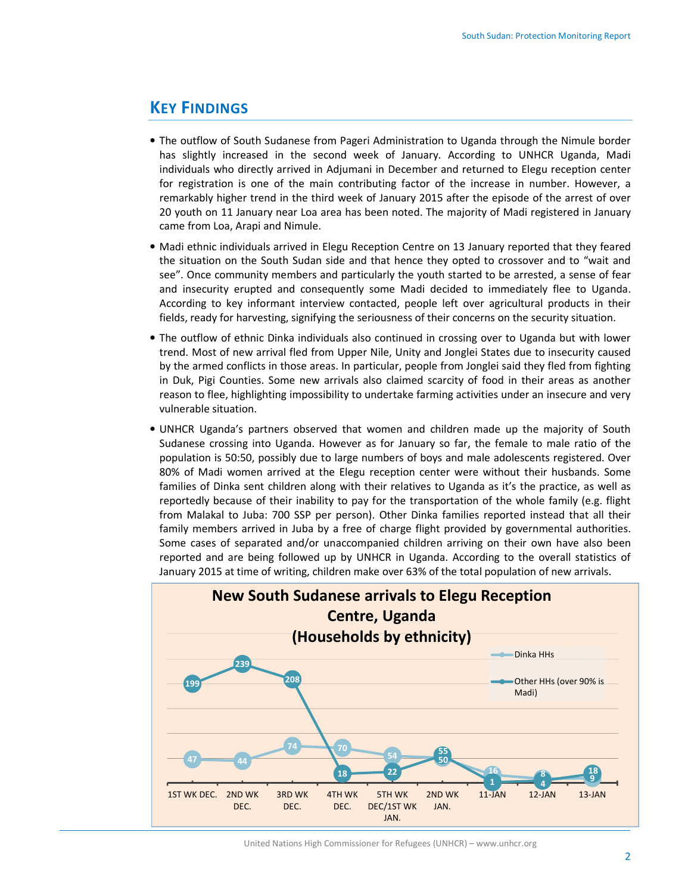## KEY FINDINGS

- The outflow of South Sudanese from Pageri Administration to Uganda through the Nimule border has slightly increased in the second week of January. According to UNHCR Uganda, Madi individuals who directly arrived in Adjumani in December and returned to Elegu reception center for registration is one of the main contributing factor of the increase in number. However, a remarkably higher trend in the third week of January 2015 after the episode of the arrest of over 20 youth on 11 January near Loa area has been noted. The majority of Madi registered in January came from Loa, Arapi and Nimule.
- Madi ethnic individuals arrived in Elegu Reception Centre on 13 January reported that they feared the situation on the South Sudan side and that hence they opted to crossover and to "wait and see". Once community members and particularly the youth started to be arrested, a sense of fear and insecurity erupted and consequently some Madi decided to immediately flee to Uganda. According to key informant interview contacted, people left over agricultural products in their fields, ready for harvesting, signifying the seriousness of their concerns on the security situation.
- The outflow of ethnic Dinka individuals also continued in crossing over to Uganda but with lower trend. Most of new arrival fled from Upper Nile, Unity and Jonglei States due to insecurity caused by the armed conflicts in those areas. In particular, people from Jonglei said they fled from fighting in Duk, Pigi Counties. Some new arrivals also claimed scarcity of food in their areas as another reason to flee, highlighting impossibility to undertake farming activities under an insecure and very vulnerable situation.
- UNHCR Uganda's partners observed that women and children made up the majority of South Sudanese crossing into Uganda. However as for January so far, the female to male ratio of the population is 50:50, possibly due to large numbers of boys and male adolescents registered. Over 80% of Madi women arrived at the Elegu reception center were without their husbands. Some families of Dinka sent children along with their relatives to Uganda as it's the practice, as well as reportedly because of their inability to pay for the transportation of the whole family (e.g. flight from Malakal to Juba: 700 SSP per person). Other Dinka families reported instead that all their family members arrived in Juba by a free of charge flight provided by governmental authorities. Some cases of separated and/or unaccompanied children arriving on their own have also been reported and are being followed up by UNHCR in Uganda. According to the overall statistics of January 2015 at time of writing, children make over 63% of the total population of new arrivals.



United Nations High Commissioner for Refugees (UNHCR) – www.unhcr.org